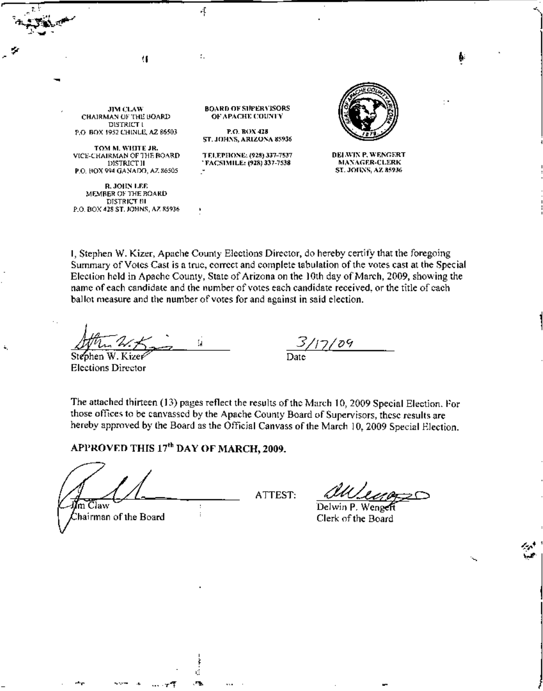**JIM CLAW** CHAIRMAN OF THE BOARD **DISTRICT I** P.O. BOX 1952 CHINLE, AZ 86503

Ħ

TOM M. WHITE JR. VICE-CHAIRMAN OF THE BOARD DISTRICT II P.O. HOX 994 GANADO, AZ 86505

**R. JOHN LEE** MEMBER OF THE BOARD DISTRICT III P.O. BOX 428 ST. JOHNS, AZ 85936 **BOARD OF SIJPERVISORS** OF APACHE COUNTY

μĻ,

÷.

P.O. BOX 428 **5T. JOHNS, ARIZONA 85936** 

TELEPHONE: (928) 337-7537 FACSIMILE: (928) 337-7538



 $\cdot$ 

**DELWIN P. WENGERT MANAGER-CLERK** ST. JOHNS, AZ 85936

I, Stephen W. Kizer, Apache County Elections Director, do hereby certify that the foregoing Summary of Votes Cast is a true, correct and complete tabulation of the votes cast at the Special Election held in Apache County, State of Arizona on the 10th day of March, 2009, showing the name of each candidate and the number of votes each candidate received, or the title of cach ballot measure and the number of votes for and against in said election.

f.

Stephen W. Kizer **Elections Director** 

À,

The attached thirteen (13) pages reflect the results of the March 10, 2009 Special Election. For those offices to be canvassed by the Apache County Board of Supervisors, these results are hereby approved by the Board as the Official Canvass of the March 10, 2009 Special Election.

APPROVED THIS 17<sup>th</sup> DAY OF MARCH, 2009.

 $\ddot{\phantom{a}}$ 

m Claw

hairman of the Board,

ATTEST:

Delwin P. Wengel Clerk of the Board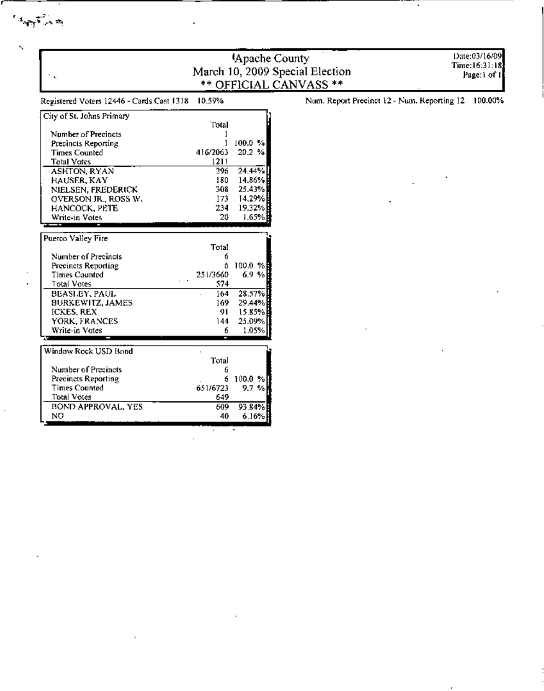| $\sim$                                                                                                                                                                                |                                                                           |                                                                     | Apache County<br>March 10, 2009 Special Election<br>** OFFICIAL CANVASS ** | Date:03/16/09<br>Time:16:31:18<br>Page:1 of 1 |
|---------------------------------------------------------------------------------------------------------------------------------------------------------------------------------------|---------------------------------------------------------------------------|---------------------------------------------------------------------|----------------------------------------------------------------------------|-----------------------------------------------|
| Registered Voters 12446 - Cards Cast 1318                                                                                                                                             | 10.59%                                                                    |                                                                     | Num. Report Precinct 12 - Num. Reporting 12                                | 100.00%                                       |
| City of St. Johns Primary                                                                                                                                                             |                                                                           |                                                                     |                                                                            |                                               |
|                                                                                                                                                                                       | Total                                                                     |                                                                     |                                                                            |                                               |
| Number of Precincts                                                                                                                                                                   |                                                                           |                                                                     |                                                                            |                                               |
| Precincts Reporting                                                                                                                                                                   | 1                                                                         | 100.0%                                                              |                                                                            |                                               |
| <b>Times Counted</b>                                                                                                                                                                  | 416/2063                                                                  | 20.2 %                                                              |                                                                            |                                               |
| <b>Total Votes</b>                                                                                                                                                                    | 1211                                                                      |                                                                     |                                                                            |                                               |
| ASHTON, RYAN                                                                                                                                                                          | 296                                                                       | 24.44%                                                              |                                                                            |                                               |
| HAUSER, KAY                                                                                                                                                                           | 180                                                                       | 14.86%                                                              |                                                                            |                                               |
| NIELSEN, FREDERICK                                                                                                                                                                    | 308                                                                       | 25.43%                                                              |                                                                            |                                               |
| OVERSON JR., ROSS W.                                                                                                                                                                  | 173                                                                       | 14.29%                                                              |                                                                            |                                               |
| HANCOCK, PETE                                                                                                                                                                         | 234                                                                       | 19.32%                                                              |                                                                            |                                               |
| Write-in Votes                                                                                                                                                                        | 20                                                                        | 1.65%                                                               |                                                                            |                                               |
| Number of Precincts<br>Precincts Reporting<br><b>Times Counted</b><br>Total Votes<br>BEASLEY, PAUL<br><b>BURKEWITZ, JAMES</b><br><b>ICKES, REX</b><br>YORK, FRANCES<br>Write-in Votes | <b>Total</b><br>6<br>6<br>251/3660<br>574<br>164<br>169<br>91<br>144<br>6 | 100.0 %<br>6.9 % N<br>28.57%<br>29.44%<br>15.85%<br>25.09%<br>1.05% |                                                                            |                                               |
| Window Rock USD Bond                                                                                                                                                                  |                                                                           |                                                                     |                                                                            |                                               |
|                                                                                                                                                                                       |                                                                           |                                                                     |                                                                            |                                               |
| Number of Precincts                                                                                                                                                                   | Total                                                                     |                                                                     |                                                                            |                                               |
|                                                                                                                                                                                       | 6                                                                         |                                                                     |                                                                            |                                               |
| Precincts Reporting<br><b>Times Counted</b>                                                                                                                                           | 6                                                                         | $100.0 \%$                                                          |                                                                            |                                               |
|                                                                                                                                                                                       | 651/6723                                                                  | 9.7%                                                                |                                                                            |                                               |
| Total Votes                                                                                                                                                                           | 649                                                                       |                                                                     |                                                                            |                                               |
| BOND APPROVAL, YES                                                                                                                                                                    | 609                                                                       | 93.84%                                                              |                                                                            |                                               |
| NO                                                                                                                                                                                    | 40                                                                        | 6.16%排                                                              |                                                                            |                                               |

Τ

Τ

i,

 $\epsilon_{\rm{eff}}\tau_{\rm{eff}}^{\rm{c}}$ 

τ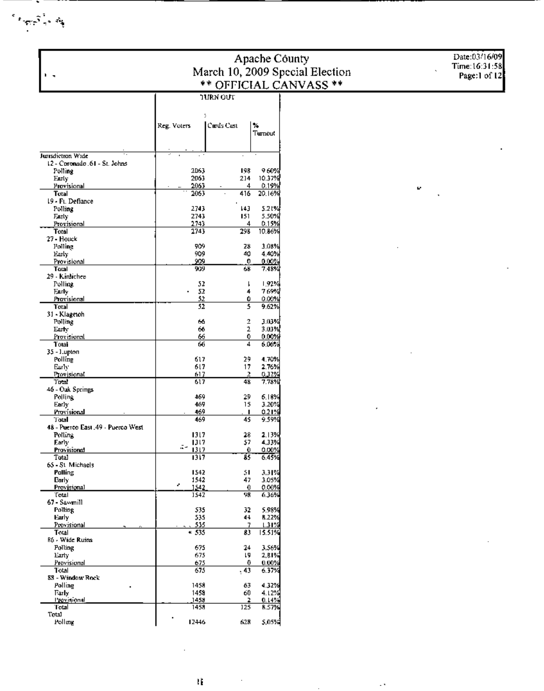| ar Till<br>\$<br>÷, |  |  |  |  |
|---------------------|--|--|--|--|
|---------------------|--|--|--|--|

. .

|                                    |                           |                           |                 | Apache Côunty                   | Date:03/16/09  |
|------------------------------------|---------------------------|---------------------------|-----------------|---------------------------------|----------------|
|                                    |                           |                           |                 |                                 | Time: 16:31:58 |
| ٠.                                 |                           |                           |                 | March 10, 2009 Special Election | Page:1 of 12   |
|                                    |                           |                           |                 | ** OFFICIAL CANVASS **          |                |
|                                    |                           | <b>JURN OUT</b>           |                 |                                 |                |
|                                    |                           |                           |                 |                                 |                |
|                                    | ţ.                        |                           |                 |                                 |                |
|                                    | Reg. Voters               | Cards Cast<br>×.          | Tumout          |                                 |                |
|                                    |                           |                           |                 |                                 |                |
| Jurisdiction Wide                  |                           |                           |                 |                                 |                |
| 12 - Coronado .61 - St. Johns      |                           |                           |                 |                                 |                |
| Polling                            | 2063                      | 198                       | 9.60%           |                                 |                |
| Farly<br>Provisional               | 2063<br>2063              | 214<br>4                  | 10.37%<br>0.19% |                                 |                |
| Total                              | 2063                      | 416                       | 20.16%          |                                 | ×,             |
| 19 - Ft. Defiance                  |                           |                           |                 |                                 |                |
| Polling<br>Farly                   | 2743<br>2743              | 143<br>151                | 5.21%<br>5.50%  |                                 |                |
| Provisional                        | 2743                      | 4                         | 0.15%           |                                 |                |
| Total<br>27 - Houck                | 2743                      | 298                       | 10.86%          |                                 |                |
| Polling                            | 909                       | 28                        | 3.08%           |                                 |                |
| Early.                             | 909                       | 40                        | 4.40%           |                                 |                |
| Provisional<br>Total               | 909<br>909                | 0<br>68                   | 0.00%<br>7.48%  |                                 |                |
| 29 - Kinlicheel                    |                           |                           |                 |                                 |                |
| Polling                            | 52                        | ı.                        | 1,92%           |                                 |                |
| Farly<br>Provisional               | 52<br>$\frac{1}{2}$       | 4<br>0                    | 7.69%<br>0.00%  |                                 |                |
| Total                              | $\overline{52}$           | 5                         | 9.62%           |                                 |                |
| 31 - Klagetoh                      |                           |                           |                 |                                 |                |
| Polling<br>Early                   | 66<br>66                  | 2<br>2                    | 3.03%<br>3.03%  |                                 |                |
| Provisional                        | 66                        | 0                         | 0.00%           |                                 |                |
| Total<br>35 - Lupton               | 66                        | $\overline{4}$            | 6.06%           |                                 |                |
| Polling                            | 617                       | 29                        | 4.70%           |                                 |                |
| Early                              | 617                       | 17                        | 2.76%           |                                 |                |
| Provisional<br>Total               | 617<br>617                | 2<br>48                   | 0,32%<br>7.78%  |                                 |                |
| 46 - Oak Springs                   |                           |                           |                 |                                 |                |
| Polling                            | 469                       | 29                        | 6.18%           |                                 |                |
| Early<br>Provisional               | 469<br>469                | 15<br>л                   | 3.20%<br>0.21%  |                                 |                |
| Total                              | 469                       | 45                        | 9.59%           |                                 |                |
| 48 - Puerco East .49 - Puerco West |                           |                           |                 |                                 |                |
| Polling<br>Early                   | 1317                      | 28<br>57                  | 2.13%<br>4,33%  |                                 |                |
| <b>Provisional</b>                 | $\frac{1317}{1317}$<br>Д4 | $\mathbf 0$               | 0.00%           |                                 |                |
| Total<br>65 - 51 Michaels          | 1317                      | Ts                        | 6.45%           |                                 |                |
| Polling                            | 1542                      | ŞI.                       | 3.31%           |                                 |                |
| <b>Barly</b>                       | 1542<br>e,                | 47                        | 3.05%           |                                 |                |
| Provisional<br>Total               | 1542<br>1542              | $\ddot{\mathbf{0}}$<br>98 | 0.00%<br>6.36%  |                                 |                |
| 67 - Sawmill                       |                           |                           |                 |                                 |                |
| Polling                            | 535                       | 32                        | 5.98%           |                                 |                |
| Early<br>Provisional               | 535<br><u>535</u>         | 44<br>7                   | B.22%<br>1.31%  |                                 |                |
| Total                              | $* 535$                   | 83                        | 15.51%          |                                 |                |
| 86 - Wide Ruins<br>Polling         |                           |                           |                 |                                 |                |
| Early                              | 675<br>675                | 24<br>Ţð.                 | 3.56%<br>2,81%  |                                 |                |
| Provisional                        | 675                       | 0                         | 0.00%           |                                 |                |
| Total<br>88 - Window Rock          | 675                       | ,43                       | 6.37%           |                                 |                |
| Polling                            | 1458                      | 63                        | 4.32%           |                                 |                |
| <b>Farly</b>                       | 1458                      | 60                        | 4.12%           |                                 |                |
| Provisional<br>Total               | 1458<br>1458              | 2<br>125                  | 0.14%<br>8.57%  |                                 |                |
| Total                              |                           |                           |                 |                                 |                |
| Polling                            | 12446                     | 628                       | 5,05%           |                                 |                |

 $\mathbf{u}$ 

 $\cdot$ 

 $\cdot$ 

 $\cdot$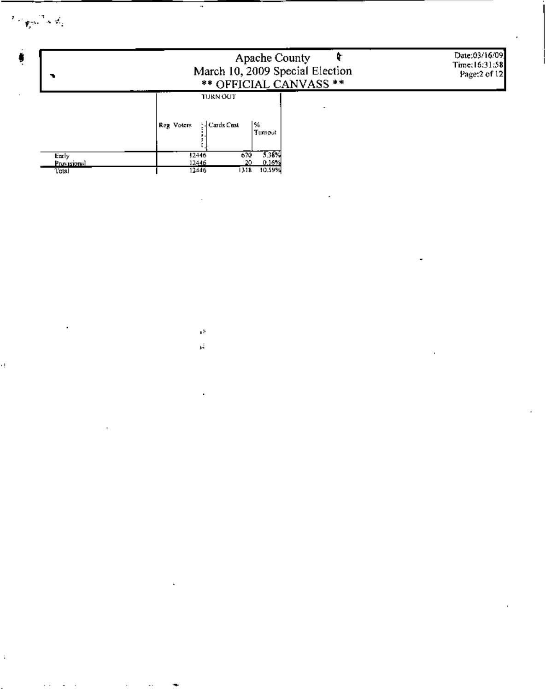$\epsilon_{\rm c} = \frac{1}{\sqrt{2}} \sqrt{2} \sqrt{2} \sqrt{2} \frac{1}{\sqrt{2}}$ 

ä,

H,

 $\ddot{\phantom{0}}$ 

| ۰.                                   | Apache County<br>March 10, 2009 Special Election<br>** OFFICIAL CANVASS ** | Date:03/16/09<br>Time:16:31:58<br>Page: 2 of 12 |
|--------------------------------------|----------------------------------------------------------------------------|-------------------------------------------------|
|                                      | <b>TURN OUT</b><br>1%<br>: l Cards Cast<br>Reg Voters<br>Turnout           |                                                 |
| Early<br><b>Provisional</b><br>Total | 5304<br>670<br>12446<br>0.16%<br>12446<br>20.<br>10.59%<br>1318<br>12446   |                                                 |

 $\mathcal{F}^{\mathcal{A}}_{\mathcal{A}}$ 

 $\blacksquare$ 

 $\bar{\nu}$  $\sim 14$ 

 $\mathcal{A}$ 

 $\ddot{\phantom{0}}$ 

Ŷ,

 $\ddot{\phantom{a}}$ 

Ŷ,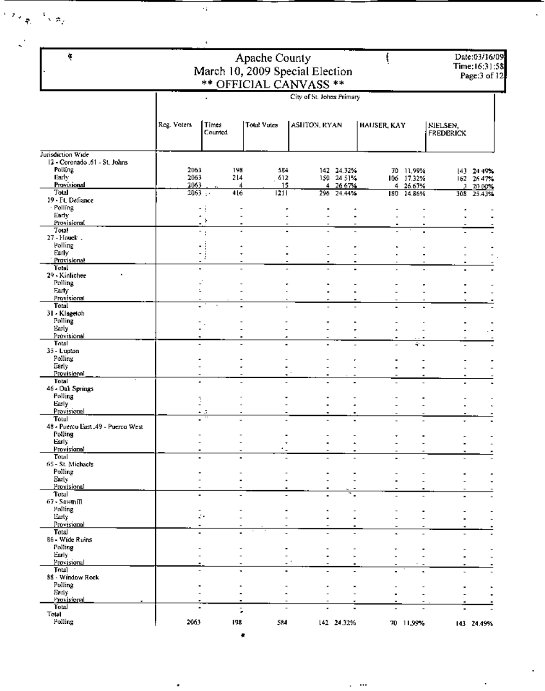|                                   |                          | $\ddot{\bullet}$         |                                 |                           |                          |             |                         |                  |                                |
|-----------------------------------|--------------------------|--------------------------|---------------------------------|---------------------------|--------------------------|-------------|-------------------------|------------------|--------------------------------|
| ķ                                 |                          |                          | Apache County                   |                           |                          |             |                         |                  | Date:03/16/09<br>Time:16:31:58 |
|                                   |                          |                          | March 10, 2009 Special Election |                           |                          |             |                         |                  | Page:3 of 12.                  |
|                                   |                          |                          | ** OFFICIAL CANVASS **          |                           |                          |             |                         |                  |                                |
|                                   |                          | $\blacksquare$           |                                 | City of St. Johns Primary |                          |             |                         |                  |                                |
|                                   |                          |                          |                                 |                           |                          |             |                         |                  |                                |
|                                   | Reg. Voters              | Times                    | Total Votes                     | ASHTON, RYAN              |                          | HAUSER, KAY |                         | NIELSEN,         |                                |
|                                   |                          | Counted                  |                                 |                           |                          |             |                         | <b>FREDERICK</b> |                                |
| Jurisdiction Wide                 |                          |                          |                                 |                           |                          |             |                         |                  |                                |
| 12 - Coronado .61 - St. Johns     |                          |                          |                                 |                           |                          |             |                         |                  |                                |
| Polling<br>Early                  | 2063<br>2063             | 198<br>214               | 584<br>612                      |                           | 142 24.32%<br>150 24 51% |             | 70 11,99%<br>106 17.32% |                  | 143 24 49%<br>162 2647%        |
| Provisional                       | 2063                     | 4                        | 15                              |                           | 4 26 67%                 |             | 4 26.67%                |                  | $3 - 2000%$                    |
| Total<br>19 - Ft. Defiance        | 2063                     | 416                      | 21                              |                           | 296 24.44%               |             | 180 14.86%              |                  | 308 25.43%                     |
| · Polling                         |                          |                          |                                 |                           |                          |             |                         |                  |                                |
| Early<br>Provisional              |                          | ÷.                       |                                 |                           |                          |             |                         |                  |                                |
| Total                             |                          | ÷,<br>۰                  | $\blacksquare$                  |                           | $\overline{a}$           |             |                         |                  |                                |
| $27 -$ Houck $\ldots$             |                          |                          |                                 |                           |                          |             |                         |                  |                                |
| Polling<br>Early                  |                          |                          |                                 |                           |                          |             |                         |                  |                                |
| <b>Provisional</b>                |                          |                          |                                 |                           |                          |             |                         |                  |                                |
| Total<br>29 - Kinlicher           |                          | ×.                       |                                 |                           |                          |             |                         |                  |                                |
| Polling                           |                          |                          |                                 |                           |                          |             |                         |                  |                                |
| Early<br>Provisional              | L                        |                          |                                 |                           |                          |             |                         |                  |                                |
| Total                             |                          | $\blacksquare$           |                                 |                           | $\overline{\phantom{a}}$ |             |                         |                  |                                |
| 31 - Klagetoh<br>Polling          |                          |                          |                                 |                           |                          |             |                         |                  |                                |
| Enrly                             |                          |                          |                                 |                           |                          |             |                         |                  |                                |
| Provisional                       |                          |                          |                                 |                           |                          |             |                         |                  |                                |
| Total<br>35 - Lupton              |                          |                          |                                 |                           |                          |             | ÷.                      |                  |                                |
| Polling                           |                          |                          |                                 |                           |                          |             |                         |                  |                                |
| Early<br><b>Provisional</b>       |                          |                          |                                 | ٠                         |                          |             |                         |                  |                                |
| Total                             | ٠                        | $\overline{\phantom{a}}$ |                                 |                           |                          |             |                         |                  |                                |
| 46 - Oak Springs<br>Polling       |                          |                          |                                 |                           |                          |             |                         |                  |                                |
| Early                             | Ì                        |                          |                                 |                           |                          |             |                         |                  |                                |
| Provisional<br>Total              |                          | $\sim$ 5                 |                                 |                           |                          |             |                         |                  |                                |
| 48 - Puerco East 49 - Puerco West |                          |                          |                                 |                           |                          |             |                         |                  |                                |
| Polling                           | $\overline{\phantom{0}}$ |                          |                                 |                           | $\overline{\phantom{a}}$ | ۰.          | ٠                       | -                |                                |
| Esrly<br>Provisional              | $\overline{\phantom{a}}$ |                          | ٠<br>٠.                         |                           |                          |             | $\overline{a}$          |                  |                                |
| Total                             |                          |                          |                                 |                           |                          |             |                         |                  |                                |
| 65 - St. Michaels<br>Polling      |                          |                          |                                 |                           |                          |             |                         |                  |                                |
| Early                             |                          |                          |                                 |                           |                          |             |                         |                  |                                |
| Provisional<br>Total              | ٠                        |                          | $\overline{a}$                  |                           | ٠                        |             |                         |                  |                                |
| 67 - Sawmill                      |                          |                          |                                 |                           |                          |             |                         |                  |                                |
| Polling<br>Larly <sup>1</sup>     |                          | Ŀ.                       |                                 |                           |                          |             |                         |                  |                                |
| Provisional                       |                          |                          |                                 |                           |                          |             |                         |                  |                                |
| Total<br>86 - Wide Ruins          | ٠                        |                          |                                 |                           | $\overline{a}$           |             |                         |                  |                                |
| Polling                           |                          |                          | ٠                               |                           |                          |             |                         |                  |                                |
| Early                             |                          |                          |                                 |                           |                          |             |                         |                  |                                |
| Provisional<br>Total :            | $\overline{\phantom{a}}$ |                          |                                 |                           |                          |             |                         |                  |                                |
| 88 - Window Rock                  |                          |                          |                                 |                           |                          |             |                         |                  |                                |
| Polling<br>Farly                  |                          |                          | $\overline{a}$                  |                           |                          |             |                         |                  |                                |
| Provisional                       |                          |                          |                                 |                           |                          |             |                         |                  |                                |
| Total                             |                          | t,                       |                                 |                           |                          |             |                         |                  |                                |
| Total                             |                          |                          |                                 |                           |                          |             |                         |                  |                                |

 $\mathcal{A}_{\mathbf{I}}$ 

 $\left(\begin{smallmatrix} \mathcal{T}_{\mathcal{T}_{\mathcal{A}_{\mathcal{A}_{\mathcal{A}}}}} & \mathcal{T}_{\mathcal{A}_{\mathcal{A}_{\mathcal{A}}}} \\ \mathcal{T}_{\mathcal{A}_{\mathcal{A}_{\mathcal{A}}}} & \mathcal{T}_{\mathcal{A}_{\mathcal{A}_{\mathcal{A}}}} \end{smallmatrix}\right)$ 

 $\zeta^{\rm c}$ 

 $\epsilon=0.0$ 

 $\epsilon$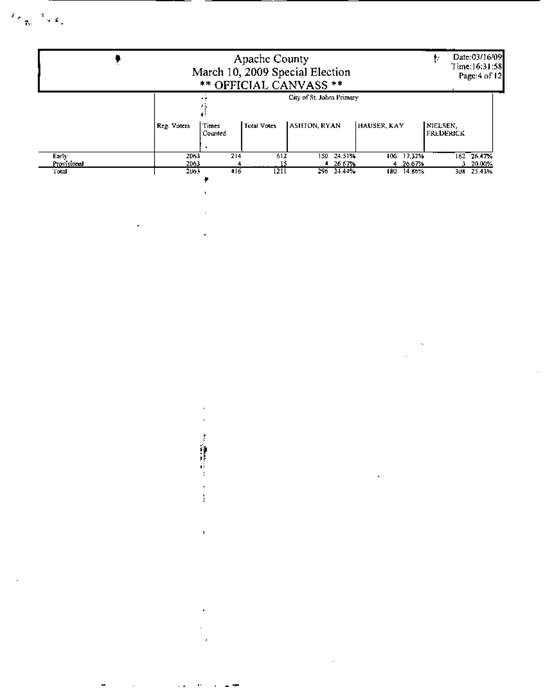$\mathcal{F}_{\mathcal{F}_{\mathcal{B}_{\mathcal{B}}}}$  ,  $\mathcal{F}_{\mathcal{B}}$  ,



计语法计算

İ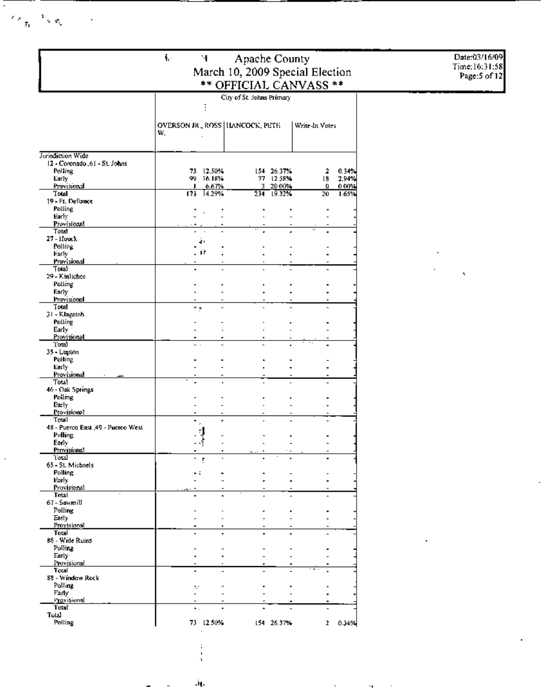|                                     | ţ.<br>Apache County<br>Ч<br>March 10, 2009 Special Election<br>** OFFICIAL CANVASS ** |                        |                           |                         |                |                |    |  |  |
|-------------------------------------|---------------------------------------------------------------------------------------|------------------------|---------------------------|-------------------------|----------------|----------------|----|--|--|
|                                     |                                                                                       |                        | City of St. Johns Primary |                         |                |                |    |  |  |
|                                     |                                                                                       |                        |                           |                         |                |                |    |  |  |
|                                     |                                                                                       |                        |                           |                         |                |                |    |  |  |
|                                     | <b>OVERSON JR., ROSS   HANCOCK, PETE</b><br>W,                                        |                        |                           |                         | Write-In Votes |                |    |  |  |
|                                     |                                                                                       |                        |                           |                         |                |                |    |  |  |
| Jurisdiction Wide                   |                                                                                       |                        |                           |                         |                |                |    |  |  |
| 12 - Coronado .61 - St. Johns       |                                                                                       |                        |                           |                         |                |                |    |  |  |
| <b>Polling</b><br>Early             |                                                                                       | 73 12.50%<br>99 16.18% |                           | 154 26.37%<br>77 12 58% | 2<br>18        | 0.34%<br>2.94% |    |  |  |
| Provisional                         |                                                                                       | 6.67%                  |                           | 3 20 00%                | Ð              | 0.00%          |    |  |  |
| Total<br>19 - Ft. Defiance          | 173                                                                                   | 14.29%                 |                           | 234 19.32%              | 20.            | 1.65%          |    |  |  |
| <b>Polling</b>                      |                                                                                       |                        |                           |                         |                |                |    |  |  |
| Early:                              |                                                                                       |                        |                           |                         |                |                |    |  |  |
| Provisional<br>Total                |                                                                                       |                        |                           |                         |                |                |    |  |  |
| 27 - Houck                          |                                                                                       | ا ہے                   |                           |                         |                |                |    |  |  |
| <b>Polling</b><br>Early             |                                                                                       | Πř                     |                           |                         |                |                |    |  |  |
| Provisional                         |                                                                                       |                        |                           |                         |                |                |    |  |  |
| Total<br>29 - Kinlichee             |                                                                                       |                        |                           |                         |                |                | ۰, |  |  |
| Polling                             |                                                                                       |                        |                           |                         |                |                |    |  |  |
| Early                               |                                                                                       |                        |                           |                         |                |                |    |  |  |
| Provisional<br>Total                |                                                                                       |                        |                           |                         |                |                |    |  |  |
| 31 - Klagetoh                       | ۰,                                                                                    |                        |                           |                         |                |                |    |  |  |
| Polling                             |                                                                                       |                        |                           |                         |                |                |    |  |  |
| Early<br>Provisional                |                                                                                       |                        |                           |                         |                |                |    |  |  |
| Total                               |                                                                                       |                        |                           |                         |                |                |    |  |  |
| 35 - Lupion                         |                                                                                       |                        |                           |                         |                |                |    |  |  |
| <b>Polling</b><br>Early:            |                                                                                       |                        |                           |                         |                |                |    |  |  |
| Provisional                         |                                                                                       |                        |                           |                         |                |                |    |  |  |
| Total<br>46 - Oak Springs           |                                                                                       |                        |                           |                         |                |                |    |  |  |
| Polling                             |                                                                                       |                        |                           |                         |                |                |    |  |  |
| Early                               |                                                                                       |                        |                           |                         |                |                |    |  |  |
| Provisional<br>Total                | ۰                                                                                     |                        |                           |                         |                |                |    |  |  |
| 48 - Puerco East 49 - Puerco West   |                                                                                       |                        |                           |                         |                |                |    |  |  |
| Polling                             |                                                                                       |                        |                           |                         |                |                |    |  |  |
| Early<br><b>Provisional</b>         | $\blacksquare$                                                                        | $\blacksquare$         |                           | ٠.                      |                |                |    |  |  |
| Total                               | ÷, e                                                                                  |                        |                           |                         |                |                |    |  |  |
| 65 - 51. Michaels<br><b>Polling</b> | - 2                                                                                   |                        |                           |                         |                |                |    |  |  |
| Early.                              |                                                                                       |                        |                           |                         |                |                |    |  |  |
| Provisional                         |                                                                                       |                        |                           |                         |                |                |    |  |  |
| Total<br>67 - Sawmill               | $\blacksquare$                                                                        |                        |                           |                         |                |                |    |  |  |
| Polling                             |                                                                                       |                        |                           |                         |                |                |    |  |  |
| Early<br>Provisional                |                                                                                       |                        |                           |                         |                |                |    |  |  |
| Total                               | ٠                                                                                     |                        |                           |                         |                |                |    |  |  |
| 86 - Wide Ruins                     |                                                                                       |                        |                           |                         |                |                |    |  |  |
| Polling<br>Farly                    |                                                                                       |                        |                           |                         |                |                |    |  |  |
| Provisional                         |                                                                                       |                        |                           |                         |                |                |    |  |  |
| Total<br>88 - Window Rock           | ٠                                                                                     |                        |                           |                         |                |                |    |  |  |
| Polling                             | ÷,                                                                                    |                        |                           |                         |                |                |    |  |  |
| Farly                               |                                                                                       |                        |                           |                         |                |                |    |  |  |
| Provisional<br>Total                | ٠.                                                                                    |                        |                           |                         |                |                |    |  |  |
| Total                               |                                                                                       |                        |                           |                         |                |                |    |  |  |
| Polling                             |                                                                                       | 73 12.50%              |                           | 154 26.37%              |                | $2 - 0.34%$    |    |  |  |

Щ.  $\overline{a}$ 

 $\frac{1}{4}$ 

Π

÷,

 $\mathcal{F}^{\lambda}(\tau_{\mathbf{p}})$  ,  $\mathcal{F}_{\mathbf{p}}$ 

 $\cdot$ 

 $\alpha$  $\mathcal{L}_{\mathcal{A}}$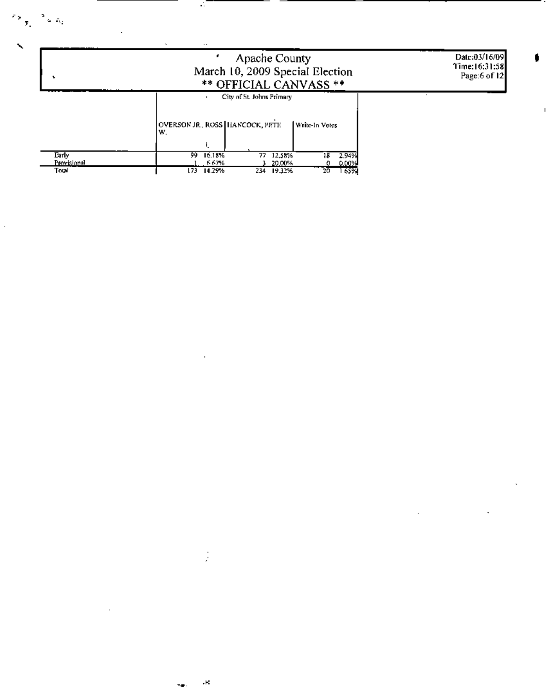| ۰                    | Apache County<br>March 10, 2009 Special Election<br>** OFFICIAL CANVASS **                        |  |  |  |  |  |  |  |
|----------------------|---------------------------------------------------------------------------------------------------|--|--|--|--|--|--|--|
|                      | City of St. Johns Primary<br>$\cdot$<br>OVERSON JR., ROSS HANCOCK, PETE<br>l Write-In-Votes<br>W. |  |  |  |  |  |  |  |
| Early                | 99.<br>16.18%<br>77 12,58%<br>2.94%                                                               |  |  |  |  |  |  |  |
| Provisional<br>Total | 667%<br>0.00%<br>20,00%<br>14.29%<br>23<br>20<br>-65%<br>234 19.32%                               |  |  |  |  |  |  |  |

 $\mathcal{L}(\mathcal{L}(\mathcal{L}))$  and  $\mathcal{L}(\mathcal{L}(\mathcal{L}))$  and  $\mathcal{L}(\mathcal{L}(\mathcal{L}))$  . Then

 $\label{eq:2.1} \mathcal{F}(\mathcal{F}) = \mathcal{F}(\mathcal{F}) \mathcal{F}(\mathcal{F}) = \mathcal{F}(\mathcal{F})$ 

 $\mathcal{L}(\mathcal{L}(\mathcal{L}(\mathcal{L}(\mathcal{L}(\mathcal{L}(\mathcal{L}(\mathcal{L}(\mathcal{L}(\mathcal{L}(\mathcal{L}(\mathcal{L}(\mathcal{L}(\mathcal{L}(\mathcal{L}(\mathcal{L}(\mathcal{L}(\mathcal{L}(\mathcal{L}(\mathcal{L}(\mathcal{L}(\mathcal{L}(\mathcal{L}(\mathcal{L}(\mathcal{L}(\mathcal{L}(\mathcal{L}(\mathcal{L}(\mathcal{L}(\mathcal{L}(\mathcal{L}(\mathcal{L}(\mathcal{L}(\mathcal{L}(\mathcal{L}(\mathcal{L}(\mathcal{$ 

 $\label{eq:2.1} \frac{1}{\sqrt{2}}\int_{\mathbb{R}^3}\frac{1}{\sqrt{2}}\left(\frac{1}{\sqrt{2}}\right)^2\left(\frac{1}{\sqrt{2}}\right)^2\left(\frac{1}{\sqrt{2}}\right)^2\left(\frac{1}{\sqrt{2}}\right)^2\left(\frac{1}{\sqrt{2}}\right)^2\left(\frac{1}{\sqrt{2}}\right)^2.$ 

 $\label{eq:2.1} \mathcal{L}(\mathcal{L}(\mathcal{L}^{\mathcal{L}})) = \mathcal{L}(\mathcal{L}^{\mathcal{L}}(\mathcal{L}^{\mathcal{L}})) = \mathcal{L}(\mathcal{L}^{\mathcal{L}}(\mathcal{L}^{\mathcal{L}})) = \mathcal{L}(\mathcal{L}^{\mathcal{L}}(\mathcal{L}^{\mathcal{L}}))$ 

 $\label{eq:2.1} \frac{1}{\sqrt{2}}\int_{\mathbb{R}^3}\frac{1}{\sqrt{2}}\left(\frac{1}{\sqrt{2}}\right)^2\frac{1}{\sqrt{2}}\left(\frac{1}{\sqrt{2}}\right)^2\frac{1}{\sqrt{2}}\left(\frac{1}{\sqrt{2}}\right)^2.$ 

 $\widehat{\gamma}_{\mathcal{T}_1} \stackrel{\pi}{\rightarrow} \widehat{\kappa}_{\mathcal{T}_1}$ 

Ŷ,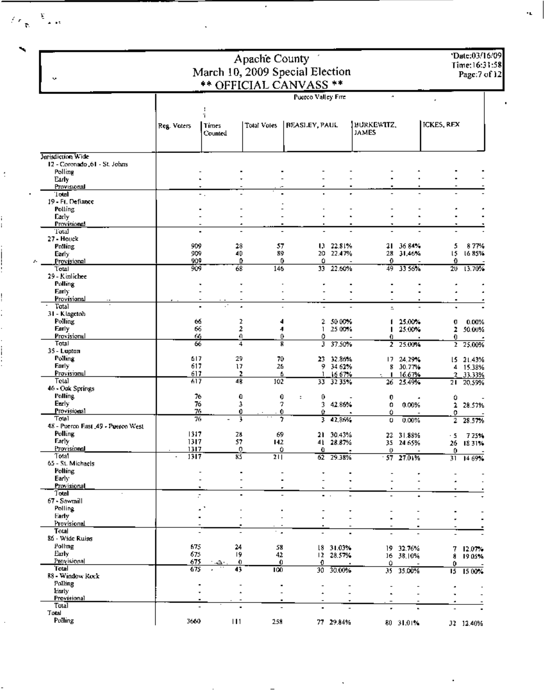| v                                 | Apache County<br>March 10, 2009 Special Election<br>** OFFICIAL CANVASS ** |                       |                                            |                           |           |                            |                          |            |               |  |  |
|-----------------------------------|----------------------------------------------------------------------------|-----------------------|--------------------------------------------|---------------------------|-----------|----------------------------|--------------------------|------------|---------------|--|--|
|                                   |                                                                            |                       |                                            | Puerco Valley Fire        |           | $\pmb{\sigma}$             |                          | ٠          |               |  |  |
|                                   |                                                                            | ÷                     |                                            |                           |           |                            |                          |            |               |  |  |
|                                   | Reg. Voters                                                                | ï<br>Times<br>Counted | Total Votes                                | <b>BEASLEY, PAUL</b>      |           | BURKEWITZ,<br><b>JAMES</b> |                          | ICKES, REX |               |  |  |
| Jurisdiction Wide                 |                                                                            |                       |                                            |                           |           |                            |                          |            |               |  |  |
| 12 - Coronado 61 - St. Johns      |                                                                            |                       |                                            |                           |           |                            |                          |            |               |  |  |
| Polling                           |                                                                            |                       |                                            |                           |           |                            |                          |            |               |  |  |
| Early<br>Provisional              |                                                                            |                       |                                            |                           |           |                            |                          |            |               |  |  |
| loui                              |                                                                            | $\sim$ .              |                                            |                           |           |                            |                          |            |               |  |  |
| 19 - Ft. Defiance                 |                                                                            |                       |                                            |                           |           |                            |                          |            |               |  |  |
| Polling<br><b>Carly</b>           |                                                                            |                       |                                            |                           |           |                            |                          |            |               |  |  |
| Provisional                       |                                                                            |                       |                                            |                           |           |                            |                          |            |               |  |  |
| Total                             |                                                                            |                       |                                            |                           |           |                            |                          |            |               |  |  |
| 27 - Houck                        | 909                                                                        | 28                    | 57                                         | L).                       | 22.81%    | 21.                        | 3684%                    | 5          | 877%          |  |  |
| Polling<br>Early:                 | 909                                                                        | 40                    | 89                                         | 20.                       | 22.47%    | 28                         | 31,46%                   | 15         | 1685%         |  |  |
| Provisional                       | 909                                                                        |                       | 0<br>û                                     | Û                         |           | 0                          |                          | ⇧          |               |  |  |
| Total                             | 909                                                                        | 68                    | 146                                        | $33 -$                    | 22.60%    | 49                         | 33 56%                   |            | $20 - 13.70%$ |  |  |
| 29 - Kinlichee<br>Polling         |                                                                            |                       |                                            |                           |           |                            |                          |            |               |  |  |
| Farly                             |                                                                            |                       |                                            |                           |           |                            |                          |            |               |  |  |
| Provisional                       |                                                                            |                       |                                            |                           |           |                            |                          |            |               |  |  |
| Total                             |                                                                            |                       |                                            |                           |           | $\ddot{ }$                 |                          |            |               |  |  |
| 31 - Klagetob<br>Polling          | 66                                                                         |                       | 2<br>4                                     |                           | 2 50 00%  |                            | 25.00%                   | o          | 0.00%         |  |  |
| <b>Farly</b>                      | 66                                                                         |                       | 2<br>4                                     | 1                         | 25 00%    | п                          | 25.00%                   | 2.         | 50.00%        |  |  |
| Provisional                       | 66                                                                         |                       | 0<br>0                                     | 0                         |           | Đ.                         |                          | 0          |               |  |  |
| Total<br>35 - Lupton              | 66                                                                         |                       | 4<br>R                                     | з                         | 37.50%    | 2.                         | 25.00%                   | z.         | 25,00%        |  |  |
| Polling                           | 617                                                                        | 29                    | 70                                         | 23.                       | 32.86%    |                            | 17 24 29%                |            | 15 21.43%     |  |  |
| Farly                             | 617                                                                        | 17                    | 26                                         | 9                         | 34 62%    |                            | 8 30.77%                 |            | 4 15.38%      |  |  |
| Provisional                       | 617                                                                        |                       | 2<br>Ď                                     |                           | 16.67%    | Ι.                         | 16.67%                   |            | 2 33.33%      |  |  |
| Tetal<br>46 - Oak Springs         | 617                                                                        | 48                    | 102                                        | 33.                       | 32.35%    | 26                         | 25.49%                   |            | 21 20,59%     |  |  |
| <b>Polling</b>                    | 76                                                                         |                       | 0<br>0                                     | 0<br>$\ddot{\phantom{a}}$ |           | 0                          | $\overline{\phantom{a}}$ | û          |               |  |  |
| Early                             | 76                                                                         |                       | 3<br>7                                     |                           | 3 42.86%  | o                          | 0.00%                    | 2          | 28.57%        |  |  |
| Provisional<br>Total              | 76<br>76                                                                   |                       | 0<br>0<br>3<br>t                           | o                         |           | Û                          |                          | 0          |               |  |  |
| 48 - Pueron East 49 - Puerco West |                                                                            |                       |                                            | 3.                        | 42,86%    | 0                          | 0.00%                    | 2          | 28.57%        |  |  |
| Polling                           | 1317                                                                       | 28                    | 69                                         |                           | 21 30.43% |                            | 22 31.88%                | - 5        | 725%          |  |  |
| Farly<br>Provisinnal              | 1317                                                                       | 57                    | 142                                        |                           | 41 28.87% |                            | 33 2465%                 |            | 26 1831%      |  |  |
| Total                             | 1317<br>1317                                                               | 85                    | $\overline{0}$<br>٥<br>211                 | 0.                        | 62 29.38% | 0                          |                          | 0.         |               |  |  |
| 65 - St. Michaels                 |                                                                            |                       |                                            |                           |           |                            | $-57 - 27.01%$           |            | $31 - 1469%$  |  |  |
| Polling                           | $\overline{\phantom{a}}$                                                   |                       | $\blacksquare$<br>$\overline{\phantom{a}}$ |                           |           |                            |                          |            |               |  |  |
| Early<br><b>Provisional</b>       |                                                                            |                       |                                            |                           |           |                            |                          |            |               |  |  |
| Total                             | $\overline{a}$                                                             |                       |                                            |                           |           |                            |                          |            |               |  |  |
| 67 - Sawmill                      |                                                                            |                       |                                            |                           |           |                            |                          |            |               |  |  |
| Polling                           |                                                                            |                       | $\blacksquare$                             |                           |           |                            |                          |            |               |  |  |
| Early<br><b>Provisional</b>       |                                                                            |                       | $\overline{\phantom{a}}$                   |                           |           |                            |                          |            |               |  |  |
| Total                             |                                                                            |                       | ÷.,                                        |                           |           |                            |                          |            |               |  |  |
| 86 - Wide Ruins                   |                                                                            |                       |                                            |                           |           |                            |                          |            |               |  |  |
| Polling<br>Early                  | 675                                                                        | 24                    | 58                                         |                           | 18 31.03% |                            | 19 32.76%                |            | 7 12.07%      |  |  |
| Provisional                       | 675<br>675                                                                 | 19<br>۰۵۰             | 42<br>0.<br>$\mathbf 0$                    | o                         | 12 28.57% | Û                          | 16 38,10%                | â          | 19 OS%        |  |  |
| 'l'otal                           | 675                                                                        | 43                    | IOD.                                       | 30.                       | 30.00%    |                            | 35 35.00%                | 0          | 15 15 00%     |  |  |
| 88 - Window Rock                  |                                                                            |                       |                                            |                           |           |                            |                          |            |               |  |  |
| Polling<br>Early.                 |                                                                            |                       | $\overline{a}$<br>$\blacksquare$           |                           |           |                            |                          |            |               |  |  |
| Provisional                       |                                                                            |                       | $\overline{a}$                             |                           |           |                            | $\overline{a}$           |            |               |  |  |
| Total                             |                                                                            |                       |                                            |                           |           |                            |                          |            |               |  |  |
| Total                             |                                                                            |                       |                                            |                           |           |                            |                          |            |               |  |  |
| Polling                           | 3660                                                                       | 111                   | 258                                        |                           | 77 29.84% |                            | 80 31.01%                |            | 32 12.40%     |  |  |

7

 $\Delta \sim 10^4$ 

 $\mathcal{L}_{\mathcal{F}_{\mathfrak{p}_{k}}}(\mathfrak{C}_{\mathfrak{p}_{k}})$ 

ł,

 $\hat{\mathcal{L}}$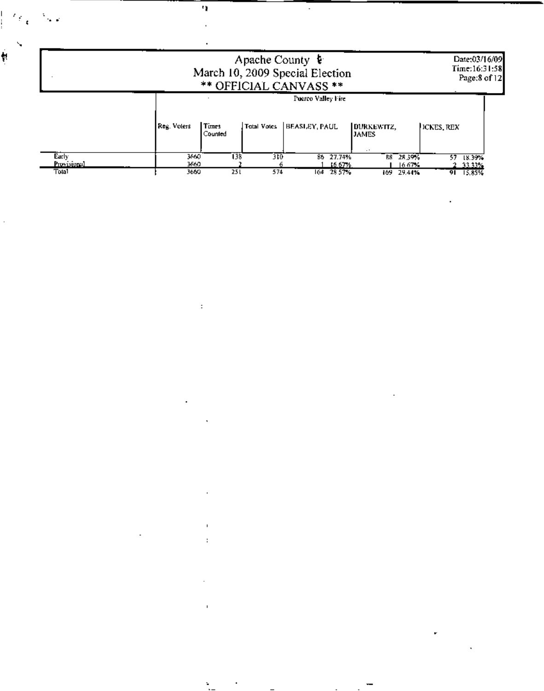| 74 H                 | ٠,                                                                                                                                               |
|----------------------|--------------------------------------------------------------------------------------------------------------------------------------------------|
|                      |                                                                                                                                                  |
|                      | Apache County $\mathbf{\ddot{e}}$<br>Date:03/16/09<br>Time:16:31:58<br>March 10, 2009 Special Election<br>Page:8 of 12<br>** OFFICIAL CANVASS ** |
|                      | Puerco Valley Fire                                                                                                                               |
|                      | Times<br>Reg. Volers<br><b>Total Votes</b><br><b>BEASLEY, PAUL</b><br>DURKEWITZ,<br>ICKES REX<br>Counted<br><b>JAMES</b>                         |
| Early<br>Provisional | 138<br>NG<br>3660<br>86 27.74%<br>R8 28,39%<br>57 18.39%<br>3660<br><u>16.67 A.</u><br>16.67%<br>2 33.33%                                        |
| Total                | 251<br>574<br>164 28 57%<br>3660<br>169<br>29.44%<br>91.<br>15,85%                                                                               |

 $\Delta \omega$  , where  $\omega$  is a set of  $\omega$ 

 $\mathcal{L}(\mathcal{L}^{\mathcal{L}})$  and  $\mathcal{L}^{\mathcal{L}}$  and  $\mathcal{L}^{\mathcal{L}}$  and  $\mathcal{L}^{\mathcal{L}}$ 

 $\label{eq:2.1} \mathcal{L}(\mathcal{L}^{\text{max}}_{\mathcal{L}}(\mathcal{L}^{\text{max}}_{\mathcal{L}})) \leq \mathcal{L}(\mathcal{L}^{\text{max}}_{\mathcal{L}}(\mathcal{L}^{\text{max}}_{\mathcal{L}}))$ 

 $\frac{1}{2} \mathcal{M}_{\mathbf{C}} \left( \mathcal{N}_{\mathbf{C}} \right)$ 

 $\label{eq:2.1} \mathcal{L}_{\text{max}} = \frac{1}{2} \sum_{i=1}^{N} \frac{1}{2} \sum_{i=1}^{N} \frac{1}{2} \sum_{i=1}^{N} \frac{1}{2} \sum_{i=1}^{N} \frac{1}{2} \sum_{i=1}^{N} \frac{1}{2} \sum_{i=1}^{N} \frac{1}{2} \sum_{i=1}^{N} \frac{1}{2} \sum_{i=1}^{N} \frac{1}{2} \sum_{i=1}^{N} \frac{1}{2} \sum_{i=1}^{N} \frac{1}{2} \sum_{i=1}^{N} \frac{1}{2} \sum_{i=$ 

्<br>∲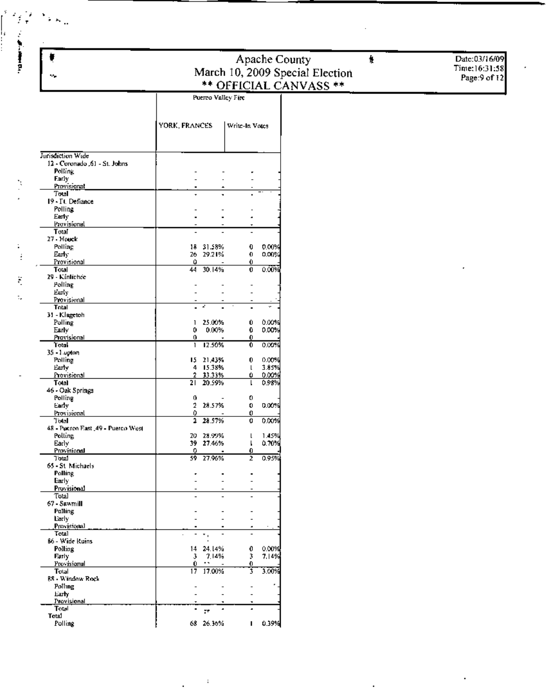|                                            |                                            |                                                      | Apache County  |                                                           | $\frac{1}{2}$ | Date:03/16/09                 |
|--------------------------------------------|--------------------------------------------|------------------------------------------------------|----------------|-----------------------------------------------------------|---------------|-------------------------------|
| ۰.                                         |                                            |                                                      |                | March 10, 2009 Special Election<br>** OFFICIAL CANVASS ** |               | Time:16:31:58<br>Page:9 of 12 |
|                                            |                                            | Puerco Valley Fire                                   |                |                                                           |               |                               |
|                                            |                                            |                                                      |                |                                                           |               |                               |
|                                            |                                            |                                                      |                |                                                           |               |                               |
|                                            | YORK, FRANCES                              | Write-In Votes                                       |                |                                                           |               |                               |
|                                            |                                            |                                                      |                |                                                           |               |                               |
| Jurisdiction Wide                          |                                            |                                                      |                |                                                           |               |                               |
| 12 - Coronado ,61 - St. Johns<br>Polling.  |                                            |                                                      |                |                                                           |               |                               |
| Early<br>Provisional                       |                                            |                                                      |                |                                                           |               |                               |
| Total                                      |                                            | $\overline{\phantom{a}}$                             |                |                                                           |               |                               |
| 19 - Ft. Defiance                          |                                            |                                                      |                |                                                           |               |                               |
| Polling                                    |                                            |                                                      |                |                                                           |               |                               |
| Early<br>Provisional                       |                                            |                                                      |                |                                                           |               |                               |
| Total<br>27 - Houck                        |                                            | $\overline{\phantom{a}}$                             |                |                                                           |               |                               |
| Polling                                    | 18 31.58%                                  | 0                                                    | 0.00%          |                                                           |               |                               |
| Early                                      | 29.21%<br>26.                              | 0                                                    | 0.00%          |                                                           |               |                               |
| Provisional<br>Total                       | û<br>30.14%<br>44                          | 0<br>0                                               | 0.00%          |                                                           |               |                               |
| 29 - Kínlichée                             |                                            |                                                      |                |                                                           |               |                               |
| Polling<br>Eurly                           |                                            |                                                      |                |                                                           |               |                               |
| Provisional                                |                                            |                                                      |                |                                                           |               |                               |
| Total<br>31 - Klagetoh                     | ۰,                                         |                                                      |                |                                                           |               |                               |
| Polling                                    | 25.00%<br>1                                | 0                                                    | 0.00%          |                                                           |               |                               |
| Early<br>Provisional                       | 0.00%<br>0.<br>0.                          | 0<br>0                                               | 0.00%          |                                                           |               |                               |
| Total                                      | 12.50%<br>$\mathbf{1}$                     | o                                                    | 0.00%          |                                                           |               |                               |
| 35 - Luplan<br>Polling                     | 15 21,43%                                  | 0                                                    | 0.00%          |                                                           |               |                               |
| Early                                      | 4 15.38%                                   | ı                                                    | 3.85%          |                                                           |               |                               |
| Provisional<br>Total                       | 33.33%<br>2.<br>21 20:59%                  | 0<br>$\mathbf{I}$                                    | 0.00%<br>0.98% |                                                           |               |                               |
| 46 - Oak Springs                           |                                            |                                                      |                |                                                           |               |                               |
| Polling<br>Early                           | 0.<br>2 28.57%                             | 0<br>0                                               | 0.00%          |                                                           |               |                               |
| Provisional                                | 0.                                         | 0                                                    |                |                                                           |               |                               |
| Total<br>48 - Pueren East 49 - Pueren West | 2 28.57%                                   | 0                                                    | 0.00%          |                                                           |               |                               |
| Polling                                    | 20 28.99%                                  | L                                                    | 1.45%          |                                                           |               |                               |
| Early<br>Provisional                       | 39 27.46%<br>0                             | ı<br>0                                               | 0.70%          |                                                           |               |                               |
| <b>Total</b>                               | 59 27.96%                                  | $\overline{2}$                                       | 0.95%          |                                                           |               |                               |
| 65 - St Michaels                           |                                            |                                                      |                |                                                           |               |                               |
| <b>Polling</b><br>Early                    |                                            |                                                      |                |                                                           |               |                               |
| <b>Provisional</b>                         |                                            | $\overline{\phantom{a}}$                             |                |                                                           |               |                               |
| Total<br>67 - Sawmill                      | $\overline{\phantom{a}}$                   | $\overline{\phantom{a}}$<br>$\overline{\phantom{a}}$ |                |                                                           |               |                               |
| <b>Polling</b>                             |                                            |                                                      |                |                                                           |               |                               |
| Larly:<br>Provisional                      |                                            | $\overline{\phantom{a}}$<br>٠                        |                |                                                           |               |                               |
| Total                                      | $\overline{\phantom{a}}$<br>$\mathbf{r}_1$ | $\overline{\phantom{a}}$<br>$\overline{\phantom{a}}$ |                |                                                           |               |                               |
| 86 - Wide Ruins<br>Polling                 | 14 24.14%                                  | 0                                                    | 0.00%          |                                                           |               |                               |
| <b>Farly</b>                               | 7.14%<br>3                                 | 3                                                    | 7.14%          |                                                           |               |                               |
| Provisional<br>Total                       | Û<br>$\cdot$ .<br>17 17:00%                | 0<br>T                                               | 3.00%          |                                                           |               |                               |
| RS - Window Rock                           |                                            |                                                      |                |                                                           |               |                               |
| Polling                                    |                                            | $\overline{\phantom{a}}$                             |                |                                                           |               |                               |
| Early<br>Provisional                       |                                            |                                                      |                |                                                           |               |                               |
| Total<br>Total                             | ٠<br>art.                                  | $\bullet$<br>٠                                       |                |                                                           |               |                               |
| Polling                                    | 68 26.36%                                  |                                                      | $1 - 0.39%$    |                                                           |               |                               |
|                                            |                                            |                                                      |                |                                                           |               |                               |

 $\sim 10^{-10}$ 

ł,

 $\ddot{\phantom{a}}$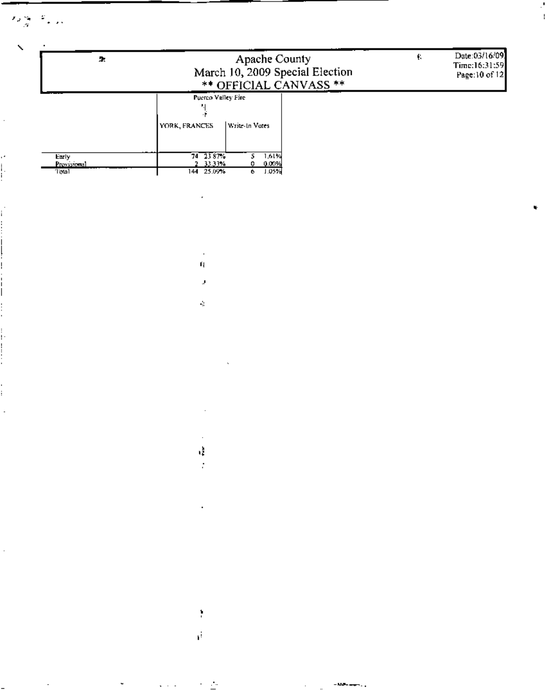$\mathcal{F}_{\mathcal{F}}\frac{\partial \varphi}{\partial t}=\frac{\varphi}{\varphi}$  , , ,

| З.                                   | Apache County<br>March 10, 2009 Special Election<br>** OFFICIAL CANVASS ** | Í. | Date:03/16/09<br>Time:16:31:59<br>Page:10 of 12 |
|--------------------------------------|----------------------------------------------------------------------------|----|-------------------------------------------------|
|                                      | Puerco Valley Fire                                                         |    |                                                 |
|                                      | Write-In-Vutes<br>YORK, FRANCES                                            |    |                                                 |
| <b>Early</b><br>Provisional<br>Total | 74 2387%<br>1,61%<br>33.33%<br>0.00%<br>1.05%<br>25.09%<br>144<br>6.       |    |                                                 |

 $\mathcal{L}(\mathcal{L}^{\text{max}}_{\mathcal{L}}(\mathcal{L}^{\text{max}}_{\mathcal{L}}))$ 

 $\frac{1}{\mathbf{q}}$ 

 $\sim$ 

 $\mathcal{L}^{\text{max}}_{\text{max}}$  and  $\mathcal{L}^{\text{max}}_{\text{max}}$ 

 $\mathcal{L}^{\mathcal{L}}$  and  $\mathcal{L}^{\mathcal{L}}$  and  $\mathcal{L}^{\mathcal{L}}$ 

 $\mathcal{X}$ 

 $\mathbf{a}^{\mathrm{F}}$ 

 $\label{eq:1} \begin{aligned} \mathbf{y} & = \mathbf{y} + \mathbf{y} \mathbf{y} + \mathbf{y} \mathbf{y} + \mathbf{y} \mathbf{y} + \mathbf{y} \mathbf{y} + \mathbf{y} \mathbf{y} + \mathbf{y} \mathbf{y} + \mathbf{y} \mathbf{y} + \mathbf{y} \mathbf{y} + \mathbf{y} \mathbf{y} + \mathbf{y} \mathbf{y} + \mathbf{y} \mathbf{y} + \mathbf{y} \mathbf{y} + \mathbf{y} \mathbf{y} + \mathbf{y} \mathbf{y} + \mathbf{y} \mathbf{y$ 

 $\mathcal{F}^{\mathcal{L}}(\mathcal{E})$  , where  $\mathcal{E}^{\mathcal{L}}(\mathcal{E})$ 

 $\sim 10^{-11}$ 

 $\overline{a}$ 

 $\label{eq:2.1} \mathcal{L}(\mathcal{L}^{\text{max}}_{\mathcal{L}}(\mathcal{L}^{\text{max}}_{\mathcal{L}}(\mathcal{L}^{\text{max}}_{\mathcal{L}}(\mathcal{L}^{\text{max}}_{\mathcal{L}})))$ 

 $\frac{1}{2}$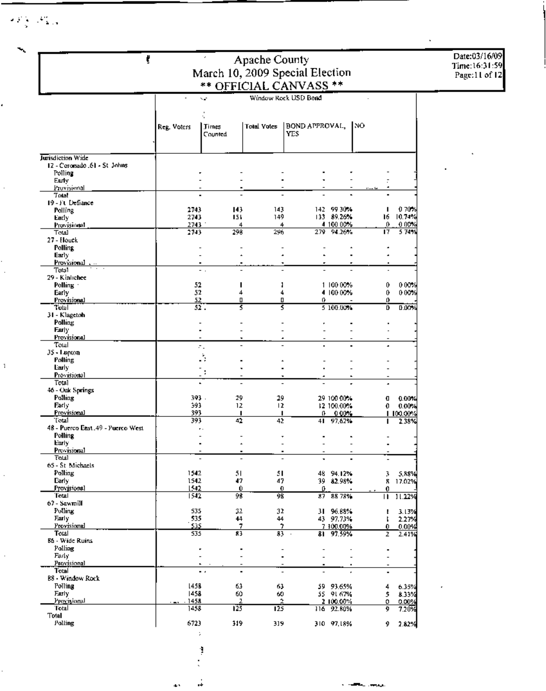$\mathcal{F}(\mathcal{E}) = \mathcal{F}(\mathcal{E})$  .

 $\boldsymbol{\tau}$ 

| ţ                                        |                |              | <b>Apache County</b>             | March 10, 2009 Special Election |                          |                |                    | Date:03/16/09<br>Time:16:31:59<br>Page:11 of 12 |
|------------------------------------------|----------------|--------------|----------------------------------|---------------------------------|--------------------------|----------------|--------------------|-------------------------------------------------|
|                                          |                |              |                                  |                                 |                          |                |                    |                                                 |
|                                          |                |              |                                  | ** OFFICIAL CANVASS **          |                          |                |                    |                                                 |
|                                          |                | Nati         |                                  | Window Rock USD Bond            |                          |                |                    |                                                 |
|                                          |                |              |                                  |                                 |                          |                |                    |                                                 |
|                                          | Reg. Voters    | <b>Jimes</b> | Total Votes                      | BOND APPROVAL,                  |                          | INO.           |                    |                                                 |
|                                          |                | Counted      |                                  | YES.                            |                          |                |                    |                                                 |
|                                          |                |              |                                  |                                 |                          |                |                    |                                                 |
| <b>Jurisdiction Wide</b>                 |                |              |                                  |                                 |                          |                |                    |                                                 |
| 12 - Coronado .61 - St. Johns<br>Polling |                |              |                                  |                                 |                          |                |                    |                                                 |
| Early                                    |                |              |                                  |                                 |                          |                |                    |                                                 |
| Provisional                              |                |              |                                  |                                 |                          |                |                    |                                                 |
| Total<br>19-Ft Defiance                  |                |              |                                  |                                 |                          |                |                    |                                                 |
| Polling.                                 | 2743           | 143          | 143                              |                                 | 142 99 30%               |                | 0.70%              |                                                 |
| Early<br>Provisional                     | 2743<br>2743 1 | 151<br>4     | 149<br>4                         |                                 | 133 89.26%<br>4 100 00%  | 16.<br>0       | 10.74%<br>0.00%    |                                                 |
| Total                                    | 2743           | 298          | 296                              |                                 | 279 94.26%               | 17             | 574%               |                                                 |
| 27 - Houck                               |                |              |                                  |                                 |                          |                |                    |                                                 |
| <b>Polling</b><br>Early                  |                |              |                                  |                                 |                          |                |                    |                                                 |
| Provisional                              |                |              |                                  |                                 |                          |                |                    |                                                 |
| Total<br>29 - Kinhehee                   |                |              |                                  |                                 |                          |                |                    |                                                 |
| Polling                                  | 52             |              | 1                                |                                 | 1 100 00%                | 0              | 0.00%              |                                                 |
| Early                                    | 52             | 4            | 4                                |                                 | 4 100 00%                | 0              | 0.00%              |                                                 |
| Provisional<br>Tutal                     | 52<br>52.      | п<br>s       | п<br>s                           | 0.                              | 5 100.00%                | 0<br>D.        | 0.00%              |                                                 |
| 31 - Klagetoh                            |                |              |                                  |                                 |                          |                |                    |                                                 |
| Polling                                  |                |              |                                  |                                 |                          |                |                    |                                                 |
| Farly<br><b>Provisional</b>              |                |              |                                  |                                 |                          |                |                    |                                                 |
| Total                                    |                | ε.           |                                  |                                 |                          |                |                    |                                                 |
| 35 - Lapton<br>Polling                   |                | Š            |                                  |                                 |                          |                |                    |                                                 |
| Larly.                                   |                |              |                                  |                                 |                          |                |                    |                                                 |
| Provisional                              |                |              |                                  |                                 |                          |                |                    |                                                 |
| Total<br>46 - Oak Springs                |                |              |                                  |                                 |                          |                |                    |                                                 |
| Polling                                  | 393.           | 29           | 29.                              |                                 | 29 100 00%               | o              | 0.00%              |                                                 |
| Early.<br>Provisional                    | 393            | 12           | 12                               |                                 | 12 100.00%               | 0.             | 0.00%              |                                                 |
| Total                                    | 393<br>393     | п<br>42      | п<br>42                          |                                 | $0 - 0.00%$<br>41 97,62% |                | 1 100,00%<br>2.38% |                                                 |
| 48 - Puerco East .49 - Puerco West       |                |              |                                  |                                 |                          |                |                    |                                                 |
| Polling<br>Early.                        |                |              | ٠                                |                                 |                          |                |                    |                                                 |
| Provisional                              |                |              |                                  |                                 |                          |                |                    |                                                 |
| Fotal                                    |                |              |                                  |                                 |                          |                |                    |                                                 |
| 65 - St. Michaels<br>Polling             | 1542           | 51           | 51                               |                                 | 48 94.12%                | 3              | 5,88%              |                                                 |
| Early:                                   | 1542           | 47           | 47                               |                                 | 39 82.98%                |                | 8 17.02%           |                                                 |
| Provisional<br>Total                     | 1542<br>1542   | 0<br>98      | 0<br>98                          | 0.                              |                          | 0              |                    |                                                 |
| 67 - Sawmill                             |                |              |                                  |                                 | 87 88 78%                |                | $11 - 11.22%$      |                                                 |
| Polling                                  | 535            | 32           | 32                               |                                 | 31 96.88%                | ı.             | 3.13%              |                                                 |
| Farly<br>Provisional                     | 535<br>535     | 44<br>7.     | 44<br>7                          |                                 | 43 97.73%<br>7 100.00%   | ţ.<br>0.       | 2.27%<br>0.00%     |                                                 |
| Total                                    | 535            | 83           |                                  | 83. .                           | 81 97.59%                | 2.             | 2.41%              |                                                 |
| 86 - Wide Ruins                          |                |              |                                  |                                 |                          |                |                    |                                                 |
| Polling<br>Fady                          |                |              | L,                               |                                 |                          |                |                    |                                                 |
| Provisional                              |                |              |                                  |                                 |                          |                |                    |                                                 |
| Total<br>88 - Window Rock                |                | . .          |                                  |                                 |                          | $\blacksquare$ |                    |                                                 |
| Polling                                  | 145B           | 63           | 63                               |                                 | 59 93.65%                | 4              | 6.35%              |                                                 |
| Farly                                    | 1458           | 60           | 60                               |                                 | \$\$ 91.67%              | 5              | 8.33%              |                                                 |
| Provisional<br>Total                     | 1458<br>1458   | 2<br>125     | $\mathbf{r}$<br>$\overline{125}$ |                                 | 2 100,00%<br>116 92.80%  | ٥<br>9         | 0.00%              |                                                 |
| Total                                    |                |              |                                  |                                 |                          |                | 7.20%              |                                                 |
| Polling                                  | 6723           | 319          | 319                              |                                 | 310 97,18%               | 9.             | 2.82%              |                                                 |
|                                          |                |              |                                  |                                 |                          |                |                    |                                                 |

 $\cdot$ 

÷,